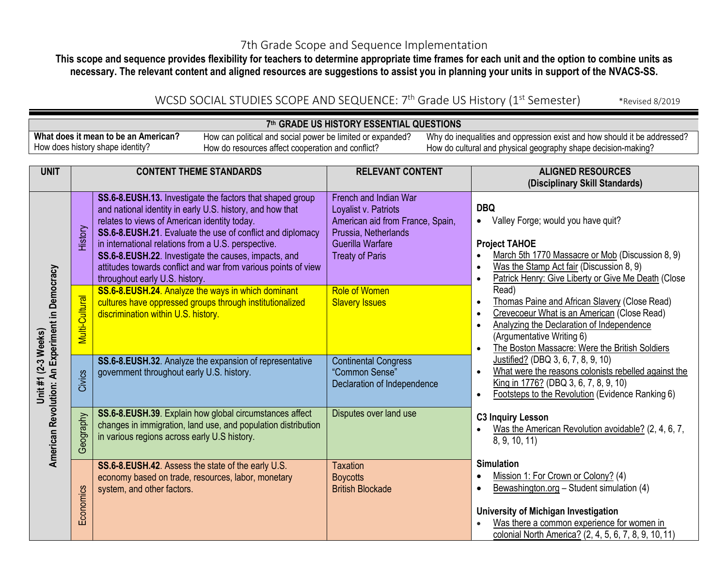## 7th Grade Scope and Sequence Implementation

**This scope and sequence provides flexibility for teachers to determine appropriate time frames for each unit and the option to combine units as necessary. The relevant content and aligned resources are suggestions to assist you in planning your units in support of the NVACS-SS.**

## WCSD SOCIAL STUDIES SCOPE AND SEQUENCE: 7<sup>th</sup> Grade US History (1<sup>st</sup> Semester) \*Revised 8/2019

### **7th GRADE US HISTORY ESSENTIAL QUESTIONS**

**What does it mean to be an American?** How does history shape identity? How can political and social power be limited or expanded? How do resources affect cooperation and conflict?

| <b>UNIT</b>                                                    | <b>CONTENT THEME STANDARDS</b> |                                                                                                                                                                                                                                                                                                                                                                                                                                                         | <b>RELEVANT CONTENT</b><br><b>ALIGNED RESOURCES</b>                                                                                                     |                                                                                                                                                                                                                                                                                     |
|----------------------------------------------------------------|--------------------------------|---------------------------------------------------------------------------------------------------------------------------------------------------------------------------------------------------------------------------------------------------------------------------------------------------------------------------------------------------------------------------------------------------------------------------------------------------------|---------------------------------------------------------------------------------------------------------------------------------------------------------|-------------------------------------------------------------------------------------------------------------------------------------------------------------------------------------------------------------------------------------------------------------------------------------|
|                                                                |                                |                                                                                                                                                                                                                                                                                                                                                                                                                                                         |                                                                                                                                                         | (Disciplinary Skill Standards)                                                                                                                                                                                                                                                      |
|                                                                | History                        | SS.6-8.EUSH.13. Investigate the factors that shaped group<br>and national identity in early U.S. history, and how that<br>relates to views of American identity today.<br>SS.6-8.EUSH.21. Evaluate the use of conflict and diplomacy<br>in international relations from a U.S. perspective.<br>SS.6-8.EUSH.22. Investigate the causes, impacts, and<br>attitudes towards conflict and war from various points of view<br>throughout early U.S. history. | French and Indian War<br>Loyalist v. Patriots<br>American aid from France, Spain,<br>Prussia, Netherlands<br>Guerilla Warfare<br><b>Treaty of Paris</b> | <b>DBQ</b><br>Valley Forge; would you have quit?<br>$\bullet$<br><b>Project TAHOE</b><br>March 5th 1770 Massacre or Mob (Discussion 8, 9)<br>$\bullet$<br>Was the Stamp Act fair (Discussion 8, 9)<br>$\bullet$<br>Patrick Henry: Give Liberty or Give Me Death (Close<br>$\bullet$ |
| American Revolution: An Experiment in Democracy<br>(2-3 Weeks) | Multi-Cultural                 | SS.6-8.EUSH.24. Analyze the ways in which dominant<br>cultures have oppressed groups through institutionalized<br>discrimination within U.S. history.                                                                                                                                                                                                                                                                                                   | <b>Role of Women</b><br><b>Slavery Issues</b>                                                                                                           | Read)<br>Thomas Paine and African Slavery (Close Read)<br>$\bullet$<br>Crevecoeur What is an American (Close Read)<br>$\bullet$<br>Analyzing the Declaration of Independence<br>$\bullet$<br>(Argumentative Writing 6)<br>The Boston Massacre: Were the British Soldiers            |
| Unit #1                                                        | Civics                         | SS.6-8.EUSH.32. Analyze the expansion of representative<br>government throughout early U.S. history.                                                                                                                                                                                                                                                                                                                                                    | <b>Continental Congress</b><br>"Common Sense"<br>Declaration of Independence                                                                            | Justified? (DBQ 3, 6, 7, 8, 9, 10)<br>What were the reasons colonists rebelled against the<br>$\bullet$<br>King in 1776? (DBQ 3, 6, 7, 8, 9, 10)<br>Footsteps to the Revolution (Evidence Ranking 6)<br>$\bullet$                                                                   |
|                                                                | Geography                      | SS.6-8.EUSH.39. Explain how global circumstances affect<br>changes in immigration, land use, and population distribution<br>in various regions across early U.S history.                                                                                                                                                                                                                                                                                | Disputes over land use                                                                                                                                  | <b>C3 Inquiry Lesson</b><br>Was the American Revolution avoidable? (2, 4, 6, 7,<br>8, 9, 10, 11)                                                                                                                                                                                    |
|                                                                | Economics                      | SS.6-8.EUSH.42. Assess the state of the early U.S.<br>economy based on trade, resources, labor, monetary<br>system, and other factors.                                                                                                                                                                                                                                                                                                                  | <b>Taxation</b><br><b>Boycotts</b><br><b>British Blockade</b>                                                                                           | <b>Simulation</b><br>Mission 1: For Crown or Colony? (4)<br>$\bullet$<br>Bewashington.org - Student simulation (4)<br>University of Michigan Investigation<br>Was there a common experience for women in<br>colonial North America? (2.4.5.6.7.8.9.10.11)                           |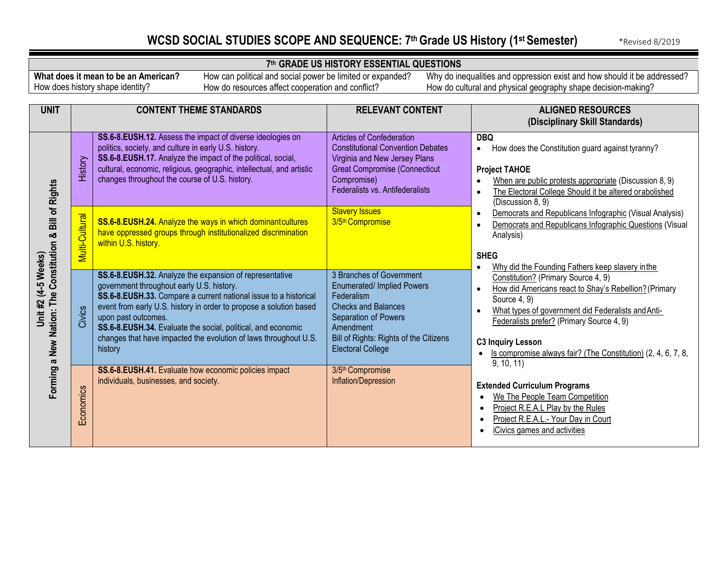## WCSD SOCIAL STUDIES SCOPE AND SEQUENCE: 7th Grade US History (1st Semester) **\*Revised 8/2019**

### **7th GRADE US HISTORY ESSENTIAL QUESTIONS**

**What does it mean to be an American?** How does history shape identity?

How can political and social power be limited or expanded? How do resources affect cooperation and conflict?

| <b>UNIT</b>                                                     |                | <b>CONTENT THEME STANDARDS</b>                                                                                                                                                                                                                                                                                                                                                                                       | <b>RELEVANT CONTENT</b>                                                                                                                                                                                              | <b>ALIGNED RESOURCES</b><br>(Disciplinary Skill Standards)                                                                                                                                                                                                                                                                                          |  |
|-----------------------------------------------------------------|----------------|----------------------------------------------------------------------------------------------------------------------------------------------------------------------------------------------------------------------------------------------------------------------------------------------------------------------------------------------------------------------------------------------------------------------|----------------------------------------------------------------------------------------------------------------------------------------------------------------------------------------------------------------------|-----------------------------------------------------------------------------------------------------------------------------------------------------------------------------------------------------------------------------------------------------------------------------------------------------------------------------------------------------|--|
| <b>Bill of Rights</b>                                           | History        | SS.6-8.EUSH.12. Assess the impact of diverse ideologies on<br>politics, society, and culture in early U.S. history.<br>SS.6-8.EUSH.17. Analyze the impact of the political, social,<br>cultural, economic, religious, geographic, intellectual, and artistic<br>changes throughout the course of U.S. history.                                                                                                       | Articles of Confederation<br><b>Constitutional Convention Debates</b><br>Virginia and New Jersey Plans<br><b>Great Compromise (Connecticut</b><br>Compromise)<br>Federalists vs. Antifederalists                     | <b>DBQ</b><br>How does the Constitution guard against tyranny?<br>$\bullet$<br><b>Project TAHOE</b><br>When are public protests appropriate (Discussion 8, 9)<br>The Electoral College Should it be altered orabolished<br>(Discussion 8, 9)                                                                                                        |  |
|                                                                 | Multi-Cultural | SS.6-8.EUSH.24. Analyze the ways in which dominant cultures<br>have oppressed groups through institutionalized discrimination<br>within U.S. history.                                                                                                                                                                                                                                                                | <b>Slavery Issues</b><br>3/5 <sup>th</sup> Compromise                                                                                                                                                                | Democrats and Republicans Infographic (Visual Analysis)<br>$\bullet$<br>Democrats and Republicans Infographic Questions (Visual<br>Analysis)<br><b>SHEG</b><br>Why did the Founding Fathers keep slavery in the<br>$\bullet$                                                                                                                        |  |
| Forming a New Nation: The Constitution &<br>Unit #2 (4-5 Weeks) | Civics         | SS.6-8.EUSH.32. Analyze the expansion of representative<br>government throughout early U.S. history.<br>SS.6-8.EUSH.33. Compare a current national issue to a historical<br>event from early U.S. history in order to propose a solution based<br>upon past outcomes.<br>SS.6-8.EUSH.34. Evaluate the social, political, and economic<br>changes that have impacted the evolution of laws throughout U.S.<br>history | 3 Branches of Government<br><b>Enumerated/ Implied Powers</b><br>Federalism<br><b>Checks and Balances</b><br>Separation of Powers<br>Amendment<br>Bill of Rights: Rights of the Citizens<br><b>Electoral College</b> | Constitution? (Primary Source 4, 9)<br>How did Americans react to Shay's Rebellion? (Primary<br>$\bullet$<br>Source 4, 9)<br>What types of government did Federalists and Anti-<br>$\bullet$<br>Federalists prefer? (Primary Source 4, 9)<br><b>C3 Inquiry Lesson</b><br>Is compromise always fair? (The Constitution) (2, 4, 6, 7, 8,<br>9, 10, 11 |  |
|                                                                 | Economics      | SS.6-8.EUSH.41. Evaluate how economic policies impact<br>individuals, businesses, and society.                                                                                                                                                                                                                                                                                                                       | 3/5 <sup>th</sup> Compromise<br>Inflation/Depression                                                                                                                                                                 | <b>Extended Curriculum Programs</b><br>We The People Team Competition<br>Project R.E.A.L Play by the Rules<br>Project R.E.A.L.- Your Day in Court<br>$\bullet$<br>iCivics games and activities                                                                                                                                                      |  |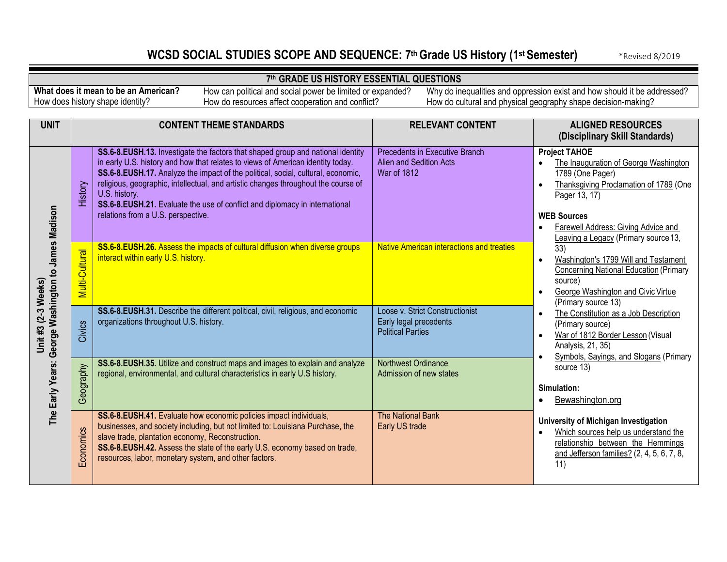## WCSD SOCIAL STUDIES SCOPE AND SEQUENCE: 7<sup>th</sup> Grade US History (1<sup>st</sup> Semester) \*Revised 8/2019

### **7th GRADE US HISTORY ESSENTIAL QUESTIONS**

**What does it mean to be an American?** How does history shape identity?

How can political and social power be limited or expanded? How do resources affect cooperation and conflict?

| <b>UNIT</b>                                         |                | <b>CONTENT THEME STANDARDS</b>                                                                                                                                                                                                                                                                                                                                                                                                                                                     | <b>RELEVANT CONTENT</b>                                                               | <b>ALIGNED RESOURCES</b><br>(Disciplinary Skill Standards)                                                                                                                                                                                                                  |
|-----------------------------------------------------|----------------|------------------------------------------------------------------------------------------------------------------------------------------------------------------------------------------------------------------------------------------------------------------------------------------------------------------------------------------------------------------------------------------------------------------------------------------------------------------------------------|---------------------------------------------------------------------------------------|-----------------------------------------------------------------------------------------------------------------------------------------------------------------------------------------------------------------------------------------------------------------------------|
|                                                     | History        | SS.6-8.EUSH.13. Investigate the factors that shaped group and national identity<br>in early U.S. history and how that relates to views of American identity today.<br>SS.6-8.EUSH.17. Analyze the impact of the political, social, cultural, economic,<br>religious, geographic, intellectual, and artistic changes throughout the course of<br>U.S. history.<br>SS.6-8.EUSH.21. Evaluate the use of conflict and diplomacy in international<br>relations from a U.S. perspective. | Precedents in Executive Branch<br>Alien and Sedition Acts<br><b>War of 1812</b>       | <b>Project TAHOE</b><br>The Inauguration of George Washington<br>$\bullet$<br>1789 (One Pager)<br>Thanksgiving Proclamation of 1789 (One<br>$\bullet$<br>Pager 13, 17)<br><b>WEB Sources</b><br>Farewell Address: Giving Advice and<br>Leaving a Legacy (Primary source 13, |
| The Early Years: George Washington to James Madison | Multi-Cultural | SS.6-8.EUSH.26. Assess the impacts of cultural diffusion when diverse groups<br>interact within early U.S. history.                                                                                                                                                                                                                                                                                                                                                                | <b>Native American interactions and treaties</b>                                      | 33)<br>Washington's 1799 Will and Testament<br>$\bullet$<br><b>Concerning National Education (Primary</b><br>source)<br>George Washington and Civic Virtue<br>(Primary source 13)                                                                                           |
| Unit #3 (2-3 Weeks)                                 | Civics         | SS.6-8.EUSH.31. Describe the different political, civil, religious, and economic<br>organizations throughout U.S. history.                                                                                                                                                                                                                                                                                                                                                         | Loose v. Strict Constructionist<br>Early legal precedents<br><b>Political Parties</b> | The Constitution as a Job Description<br>$\bullet$<br>(Primary source)<br>War of 1812 Border Lesson (Visual<br>$\bullet$<br>Analysis, 21, 35)<br>Symbols, Sayings, and Slogans (Primary                                                                                     |
|                                                     | Geography      | SS.6-8.EUSH.35. Utilize and construct maps and images to explain and analyze<br>regional, environmental, and cultural characteristics in early U.S history.                                                                                                                                                                                                                                                                                                                        | Northwest Ordinance<br>Admission of new states                                        | source 13)<br>Simulation:<br>Bewashington.org                                                                                                                                                                                                                               |
|                                                     | Economics      | SS.6-8.EUSH.41. Evaluate how economic policies impact individuals,<br>businesses, and society including, but not limited to: Louisiana Purchase, the<br>slave trade, plantation economy, Reconstruction.<br>SS.6-8.EUSH.42. Assess the state of the early U.S. economy based on trade,<br>resources, labor, monetary system, and other factors.                                                                                                                                    | The National Bank<br>Early US trade                                                   | University of Michigan Investigation<br>Which sources help us understand the<br>relationship between the Hemmings<br>and Jefferson families? (2, 4, 5, 6, 7, 8,<br>11)                                                                                                      |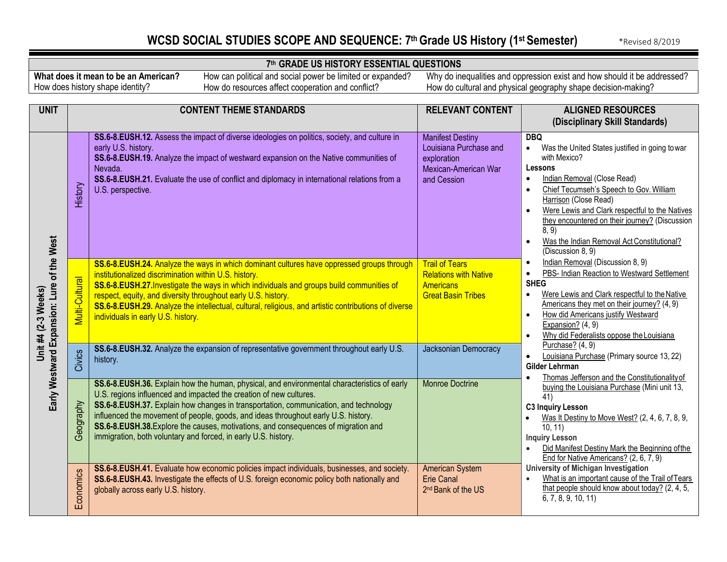## WCSD SOCIAL STUDIES SCOPE AND SEQUENCE: 7th Grade US History (1st Semester) **\*Revised 8/2019**

İ

### **7th GRADE US HISTORY ESSENTIAL QUESTIONS**

**What does it mean to be an American?** How does history shape identity?

How can political and social power be limited or expanded? How do resources affect cooperation and conflict?

| <b>UNIT</b>                                                          | <b>CONTENT THEME STANDARDS</b> |                                                                                                                                                                                                                                                                                                                                                                                                                                                                                                         | <b>RELEVANT CONTENT</b><br><b>ALIGNED RESOURCES</b><br>(Disciplinary Skill Standards)                   |                                                                                                                                                                                                                                                                                                                                                                                                                                             |
|----------------------------------------------------------------------|--------------------------------|---------------------------------------------------------------------------------------------------------------------------------------------------------------------------------------------------------------------------------------------------------------------------------------------------------------------------------------------------------------------------------------------------------------------------------------------------------------------------------------------------------|---------------------------------------------------------------------------------------------------------|---------------------------------------------------------------------------------------------------------------------------------------------------------------------------------------------------------------------------------------------------------------------------------------------------------------------------------------------------------------------------------------------------------------------------------------------|
| of the West<br>Early Westward Expansion: Lure<br>Unit #4 (2-3 Weeks) | History                        | SS.6-8.EUSH.12. Assess the impact of diverse ideologies on politics, society, and culture in<br>early U.S. history.<br>SS.6-8.EUSH.19. Analyze the impact of westward expansion on the Native communities of<br>Nevada.<br>SS.6-8.EUSH.21. Evaluate the use of conflict and diplomacy in international relations from a<br>U.S. perspective.                                                                                                                                                            | <b>Manifest Destiny</b><br>Louisiana Purchase and<br>exploration<br>Mexican-American War<br>and Cession | <b>DBQ</b><br>Was the United States justified in going towar<br>$\bullet$<br>with Mexico?<br>Lessons<br>Indian Removal (Close Read)<br>$\bullet$<br>Chief Tecumseh's Speech to Gov. William<br>$\bullet$<br>Harrison (Close Read)<br>Were Lewis and Clark respectful to the Natives<br>$\bullet$<br>they encountered on their journey? (Discussion<br>8, 9)<br>Was the Indian Removal Act Constitutional?<br>$\bullet$<br>(Discussion 8, 9) |
|                                                                      | <b>Multi-Cultural</b>          | SS.6-8.EUSH.24. Analyze the ways in which dominant cultures have oppressed groups through<br>institutionalized discrimination within U.S. history.<br>SS.6-8.EUSH.27. Investigate the ways in which individuals and groups build communities of<br>respect, equity, and diversity throughout early U.S. history.<br>SS.6-8.EUSH.29. Analyze the intellectual, cultural, religious, and artistic contributions of diverse<br>individuals in early U.S. history.                                          | <b>Trail of Tears</b><br><b>Relations with Native</b><br><b>Americans</b><br><b>Great Basin Tribes</b>  | Indian Removal (Discussion 8, 9)<br>$\bullet$<br>PBS- Indian Reaction to Westward Settlement<br>$\bullet$<br><b>SHEG</b><br>Were Lewis and Clark respectful to the Native<br>$\bullet$<br>Americans they met on their journey? (4, 9)<br>How did Americans justify Westward<br>$\bullet$<br>Expansion? (4, 9)<br>Why did Federalists oppose the Louisiana<br>$\bullet$                                                                      |
|                                                                      | Civics                         | SS.6-8.EUSH.32. Analyze the expansion of representative government throughout early U.S.<br>history.                                                                                                                                                                                                                                                                                                                                                                                                    | Jacksonian Democracy                                                                                    | Purchase? (4, 9)<br>Louisiana Purchase (Primary source 13, 22)<br>$\bullet$<br>Gilder Lehrman<br>Thomas Jefferson and the Constitutionality of<br>$\bullet$                                                                                                                                                                                                                                                                                 |
|                                                                      | Geography                      | SS.6-8.EUSH.36. Explain how the human, physical, and environmental characteristics of early<br>U.S. regions influenced and impacted the creation of new cultures.<br>SS.6-8.EUSH.37. Explain how changes in transportation, communication, and technology<br>influenced the movement of people, goods, and ideas throughout early U.S. history.<br>SS.6-8.EUSH.38. Explore the causes, motivations, and consequences of migration and<br>immigration, both voluntary and forced, in early U.S. history. | <b>Monroe Doctrine</b>                                                                                  | buying the Louisiana Purchase (Mini unit 13,<br>41)<br><b>C3 Inquiry Lesson</b><br>Was It Destiny to Move West? (2, 4, 6, 7, 8, 9,<br>$\bullet$<br>10, 11<br><b>Inquiry Lesson</b><br>Did Manifest Destiny Mark the Beginning of the<br>$\bullet$<br>End for Native Americans? (2, 6, 7, 9)                                                                                                                                                 |
|                                                                      | Economics                      | SS.6-8.EUSH.41. Evaluate how economic policies impact individuals, businesses, and society.<br>SS.6-8.EUSH.43. Investigate the effects of U.S. foreign economic policy both nationally and<br>globally across early U.S. history.                                                                                                                                                                                                                                                                       | <b>American System</b><br><b>Erie Canal</b><br>2 <sup>nd</sup> Bank of the US                           | University of Michigan Investigation<br>What is an important cause of the Trail of Tears<br>that people should know about today? (2, 4, 5,<br>6, 7, 8, 9, 10, 11)                                                                                                                                                                                                                                                                           |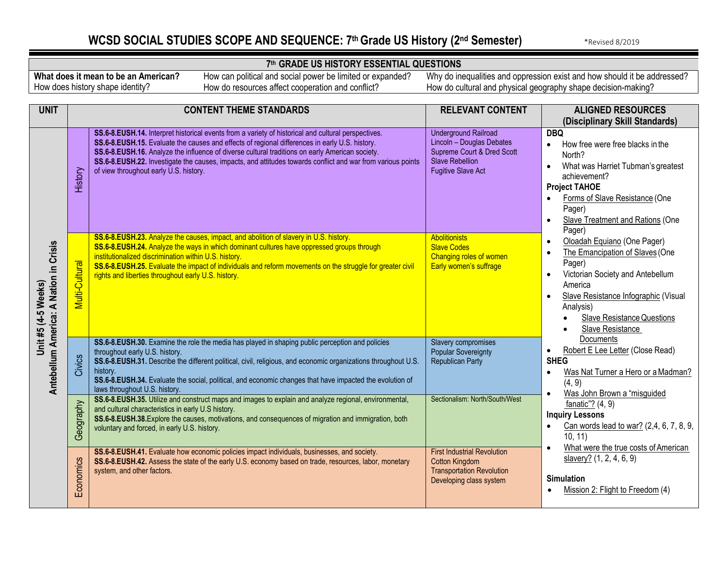## **WCSD SOCIAL STUDIES SCOPE AND SEQUENCE: 7th Grade US History (2nd Semester)** \*Revised 8/2019

#### **7th GRADE US HISTORY ESSENTIAL QUESTIONS**

**What does it mean to be an American?** How does history shape identity?

How can political and social power be limited or expanded? How do resources affect cooperation and conflict?

| <b>UNIT</b>                               |                | <b>CONTENT THEME STANDARDS</b>                                                                                                                                                                                                                                                                                                                                                                                                                                    | <b>RELEVANT CONTENT</b>                                                                                                                       | <b>ALIGNED RESOURCES</b><br>(Disciplinary Skill Standards)                                                                                                                                                                                                                                  |
|-------------------------------------------|----------------|-------------------------------------------------------------------------------------------------------------------------------------------------------------------------------------------------------------------------------------------------------------------------------------------------------------------------------------------------------------------------------------------------------------------------------------------------------------------|-----------------------------------------------------------------------------------------------------------------------------------------------|---------------------------------------------------------------------------------------------------------------------------------------------------------------------------------------------------------------------------------------------------------------------------------------------|
|                                           | History        | SS.6-8.EUSH.14. Interpret historical events from a variety of historical and cultural perspectives.<br>SS.6-8.EUSH.15. Evaluate the causes and effects of regional differences in early U.S. history.<br>SS.6-8.EUSH.16. Analyze the influence of diverse cultural traditions on early American society.<br>SS.6-8.EUSH.22. Investigate the causes, impacts, and attitudes towards conflict and war from various points<br>of view throughout early U.S. history. | <b>Underground Railroad</b><br>Lincoln - Douglas Debates<br>Supreme Court & Dred Scott<br><b>Slave Rebellion</b><br><b>Fugitive Slave Act</b> | <b>DBQ</b><br>How free were free blacks in the<br>$\bullet$<br>North?<br>What was Harriet Tubman's greatest<br>$\bullet$<br>achievement?<br><b>Project TAHOE</b><br>Forms of Slave Resistance (One<br>$\bullet$<br>Pager)<br><b>Slave Treatment and Rations (One</b><br>$\bullet$<br>Pager) |
| A Nation in Crisis<br>Unit #5 (4-5 Weeks) | Multi-Cultural | SS.6-8.EUSH.23. Analyze the causes, impact, and abolition of slavery in U.S. history.<br>SS.6-8.EUSH.24. Analyze the ways in which dominant cultures have oppressed groups through<br>institutionalized discrimination within U.S. history.<br>SS.6-8.EUSH.25. Evaluate the impact of individuals and reform movements on the struggle for greater civil<br>rights and liberties throughout early U.S. history.                                                   | <b>Abolitionists</b><br><b>Slave Codes</b><br>Changing roles of women<br>Early women's suffrage                                               | Oloadah Equiano (One Pager)<br>$\bullet$<br>The Emancipation of Slaves (One<br>$\bullet$<br>Pager)<br>Victorian Society and Antebellum<br>$\bullet$<br>America<br>Slave Resistance Infographic (Visual<br>$\bullet$<br>Analysis)<br><b>Slave Resistance Questions</b><br>Slave Resistance   |
| Antebellum America:                       | Civics         | SS.6-8.EUSH.30. Examine the role the media has played in shaping public perception and policies<br>throughout early U.S. history.<br>SS.6-8.EUSH.31. Describe the different political, civil, religious, and economic organizations throughout U.S.<br>history.<br>SS.6-8.EUSH.34. Evaluate the social, political, and economic changes that have impacted the evolution of<br>laws throughout U.S. history.                                                      | <b>Slavery compromises</b><br><b>Popular Sovereignty</b><br><b>Republican Party</b>                                                           | Documents<br>Robert E Lee Letter (Close Read)<br>$\bullet$<br><b>SHEG</b><br>Was Nat Turner a Hero or a Madman?<br>$\bullet$<br>(4, 9)<br>Was John Brown a "misguided<br>$\bullet$                                                                                                          |
|                                           | Geography      | SS.6-8.EUSH.35. Utilize and construct maps and images to explain and analyze regional, environmental,<br>and cultural characteristics in early U.S history.<br>SS.6-8.EUSH.38. Explore the causes, motivations, and consequences of migration and immigration, both<br>voluntary and forced, in early U.S. history.                                                                                                                                               | Sectionalism: North/South/West                                                                                                                | fanatic"? $(4, 9)$<br><b>Inquiry Lessons</b><br>Can words lead to war? (2,4, 6, 7, 8, 9,<br>$\bullet$<br>10, 11)                                                                                                                                                                            |
|                                           | Economics      | SS.6-8.EUSH.41. Evaluate how economic policies impact individuals, businesses, and society.<br>SS.6-8.EUSH.42. Assess the state of the early U.S. economy based on trade, resources, labor, monetary<br>system, and other factors.                                                                                                                                                                                                                                | <b>First Industrial Revolution</b><br><b>Cotton Kingdom</b><br><b>Transportation Revolution</b><br>Developing class system                    | What were the true costs of American<br>$\bullet$<br>slavery? (1, 2, 4, 6, 9)<br><b>Simulation</b><br>Mission 2: Flight to Freedom (4)<br>$\bullet$                                                                                                                                         |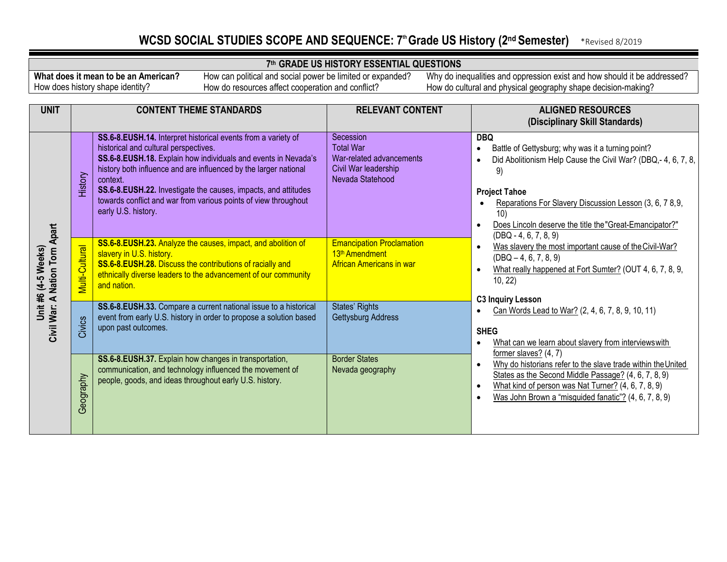## WCSD SOCIAL STUDIES SCOPE AND SEQUENCE: 7<sup>th</sup> Grade US History (2<sup>nd</sup> Semester) \*Revised 8/2019

### **7th GRADE US HISTORY ESSENTIAL QUESTIONS**

**What does it mean to be an American?** How does history shape identity?

How can political and social power be limited or expanded? How do resources affect cooperation and conflict?

| <b>UNIT</b>                                     |                       | <b>CONTENT THEME STANDARDS</b>                                                                                                                                                                                                                                                                                                                                                                                       | <b>RELEVANT CONTENT</b>                                                                               | <b>ALIGNED RESOURCES</b><br>(Disciplinary Skill Standards)                                                                                                                                                                                                                                                             |
|-------------------------------------------------|-----------------------|----------------------------------------------------------------------------------------------------------------------------------------------------------------------------------------------------------------------------------------------------------------------------------------------------------------------------------------------------------------------------------------------------------------------|-------------------------------------------------------------------------------------------------------|------------------------------------------------------------------------------------------------------------------------------------------------------------------------------------------------------------------------------------------------------------------------------------------------------------------------|
|                                                 | History               | SS.6-8.EUSH.14. Interpret historical events from a variety of<br>historical and cultural perspectives.<br>SS.6-8.EUSH.18. Explain how individuals and events in Nevada's<br>history both influence and are influenced by the larger national<br>context.<br>SS.6-8.EUSH.22. Investigate the causes, impacts, and attitudes<br>towards conflict and war from various points of view throughout<br>early U.S. history. | Secession<br><b>Total War</b><br>War-related advancements<br>Civil War leadership<br>Nevada Statehood | <b>DBQ</b><br>Battle of Gettysburg; why was it a turning point?<br>Did Abolitionism Help Cause the Civil War? (DBQ,- 4, 6, 7, 8,<br>9)<br><b>Project Tahoe</b><br>Reparations For Slavery Discussion Lesson (3, 6, 78, 9,<br>10)<br>Does Lincoln deserve the title the "Great-Emancipator?"<br>$(DBQ - 4, 6, 7, 8, 9)$ |
| <b>Nation Torn Apart</b><br>Unit #6 (4-5 Weeks) | <b>Multi-Cultural</b> | SS.6-8.EUSH.23. Analyze the causes, impact, and abolition of<br>slavery in U.S. history.<br>SS.6-8.EUSH.28. Discuss the contributions of racially and<br>ethnically diverse leaders to the advancement of our community<br>and nation.                                                                                                                                                                               | <b>Emancipation Proclamation</b><br>13 <sup>th</sup> Amendment<br><b>African Americans in war</b>     | Was slavery the most important cause of the Civil-War?<br>$(DBQ - 4, 6, 7, 8, 9)$<br>What really happened at Fort Sumter? (OUT 4, 6, 7, 8, 9,<br>10, 22)                                                                                                                                                               |
| Civil War: A                                    | Civics                | SS.6-8.EUSH.33. Compare a current national issue to a historical<br>event from early U.S. history in order to propose a solution based<br>upon past outcomes.                                                                                                                                                                                                                                                        | <b>States' Rights</b><br>Gettysburg Address                                                           | <b>C3 Inquiry Lesson</b><br>Can Words Lead to War? (2, 4, 6, 7, 8, 9, 10, 11)<br><b>SHEG</b><br>What can we learn about slavery from interviews with                                                                                                                                                                   |
|                                                 | Geography             | SS.6-8.EUSH.37. Explain how changes in transportation,<br>communication, and technology influenced the movement of<br>people, goods, and ideas throughout early U.S. history.                                                                                                                                                                                                                                        | <b>Border States</b><br>Nevada geography                                                              | former slaves? $(4, 7)$<br>Why do historians refer to the slave trade within the United<br>States as the Second Middle Passage? (4, 6, 7, 8, 9)<br>What kind of person was Nat Turner? (4, 6, 7, 8, 9)<br>Was John Brown a "misguided fanatic"? (4, 6, 7, 8, 9)                                                        |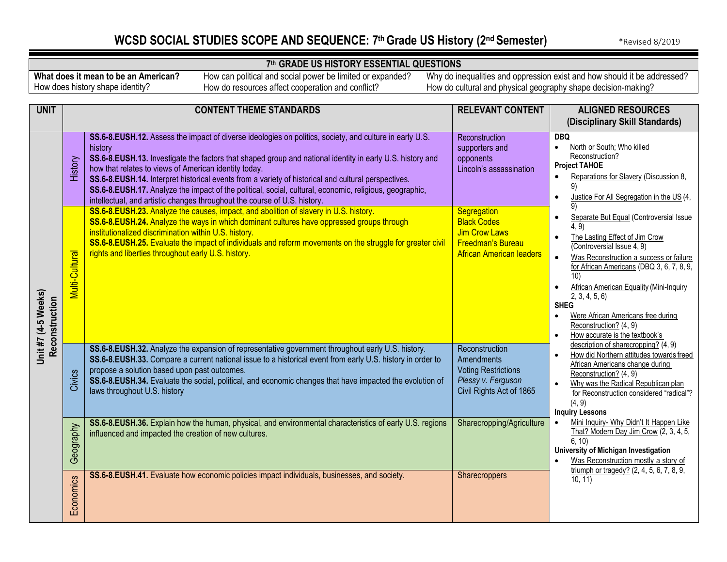## **WCSD SOCIAL STUDIES SCOPE AND SEQUENCE: 7th Grade US History (2nd Semester)** \*Revised 8/2019

İ

### **7th GRADE US HISTORY ESSENTIAL QUESTIONS**

**What does it mean to be an American?** How does history shape identity?

How can political and social power be limited or expanded? How do resources affect cooperation and conflict?

| <b>UNIT</b>                           |                | <b>CONTENT THEME STANDARDS</b>                                                                                                                                                                                                                                                                                                                                                                                                                                                                                                                                                          | <b>RELEVANT CONTENT</b>                                                                                                  | <b>ALIGNED RESOURCES</b>                                                                                                                                                                                                                                                                                                                                                                                                                                              |
|---------------------------------------|----------------|-----------------------------------------------------------------------------------------------------------------------------------------------------------------------------------------------------------------------------------------------------------------------------------------------------------------------------------------------------------------------------------------------------------------------------------------------------------------------------------------------------------------------------------------------------------------------------------------|--------------------------------------------------------------------------------------------------------------------------|-----------------------------------------------------------------------------------------------------------------------------------------------------------------------------------------------------------------------------------------------------------------------------------------------------------------------------------------------------------------------------------------------------------------------------------------------------------------------|
|                                       |                |                                                                                                                                                                                                                                                                                                                                                                                                                                                                                                                                                                                         |                                                                                                                          | (Disciplinary Skill Standards)                                                                                                                                                                                                                                                                                                                                                                                                                                        |
|                                       | History        | SS.6-8.EUSH.12. Assess the impact of diverse ideologies on politics, society, and culture in early U.S.<br>history<br>SS.6-8.EUSH.13. Investigate the factors that shaped group and national identity in early U.S. history and<br>how that relates to views of American identity today.<br>SS.6-8.EUSH.14. Interpret historical events from a variety of historical and cultural perspectives.<br>SS.6-8.EUSH.17. Analyze the impact of the political, social, cultural, economic, religious, geographic,<br>intellectual, and artistic changes throughout the course of U.S. history. | Reconstruction<br>supporters and<br>opponents<br>Lincoln's assassination                                                 | <b>DBQ</b><br>North or South; Who killed<br>$\bullet$<br>Reconstruction?<br><b>Project TAHOE</b><br>Reparations for Slavery (Discussion 8,<br>$\bullet$<br>9)<br>Justice For All Segregation in the US (4,<br>$\bullet$                                                                                                                                                                                                                                               |
| Unit #7 (4-5 Weeks)<br>Reconstruction | Multi-Cultural | SS.6-8.EUSH.23. Analyze the causes, impact, and abolition of slavery in U.S. history.<br>SS.6-8.EUSH.24. Analyze the ways in which dominant cultures have oppressed groups through<br>institutionalized discrimination within U.S. history.<br>SS.6-8.EUSH.25. Evaluate the impact of individuals and reform movements on the struggle for greater civil<br>rights and liberties throughout early U.S. history.                                                                                                                                                                         | Segregation<br><b>Black Codes</b><br><b>Jim Crow Laws</b><br><b>Freedman's Bureau</b><br><b>African American leaders</b> | Separate But Equal (Controversial Issue<br>$\bullet$<br>(4, 9)<br>The Lasting Effect of Jim Crow<br>$\bullet$<br>(Controversial Issue 4, 9)<br>$\bullet$<br>Was Reconstruction a success or failure<br>for African Americans (DBQ 3, 6, 7, 8, 9,<br>10)<br><b>African American Equality (Mini-Inquiry</b><br>2, 3, 4, 5, 6<br><b>SHEG</b><br>Were African Americans free during<br>$\bullet$<br>Reconstruction? (4, 9)<br>How accurate is the textbook's<br>$\bullet$ |
|                                       | Civics         | SS.6-8.EUSH.32. Analyze the expansion of representative government throughout early U.S. history.<br>SS.6-8.EUSH.33. Compare a current national issue to a historical event from early U.S. history in order to<br>propose a solution based upon past outcomes.<br>SS.6-8.EUSH.34. Evaluate the social, political, and economic changes that have impacted the evolution of<br>laws throughout U.S. history                                                                                                                                                                             | Reconstruction<br><b>Amendments</b><br><b>Voting Restrictions</b><br>Plessy v. Ferguson<br>Civil Rights Act of 1865      | description of sharecropping? $(4, 9)$<br>How did Northern attitudes towards freed<br>$\bullet$<br>African Americans change during<br>Reconstruction? (4, 9)<br>Why was the Radical Republican plan<br>$\bullet$<br>for Reconstruction considered "radical"?<br>(4, 9)<br><b>Inquiry Lessons</b>                                                                                                                                                                      |
|                                       | Geography      | SS.6-8.EUSH.36. Explain how the human, physical, and environmental characteristics of early U.S. regions<br>influenced and impacted the creation of new cultures.                                                                                                                                                                                                                                                                                                                                                                                                                       | Sharecropping/Agriculture                                                                                                | Mini Inquiry- Why Didn't It Happen Like<br>That? Modern Day Jim Crow (2, 3, 4, 5,<br>6, 10)<br>University of Michigan Investigation<br>Was Reconstruction mostly a story of                                                                                                                                                                                                                                                                                           |
|                                       | Economics      | SS.6-8.EUSH.41. Evaluate how economic policies impact individuals, businesses, and society.                                                                                                                                                                                                                                                                                                                                                                                                                                                                                             | Sharecroppers                                                                                                            | triumph or tragedy? $(2, 4, 5, 6, 7, 8, 9, 1)$<br>10, 11)                                                                                                                                                                                                                                                                                                                                                                                                             |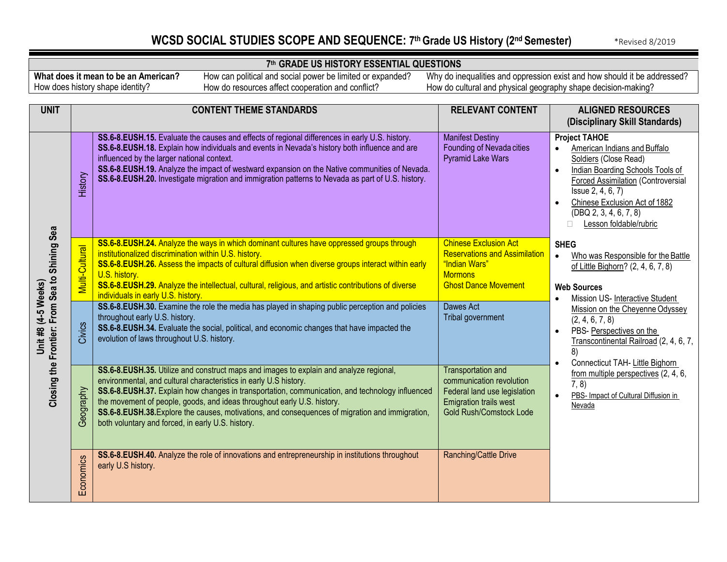## WCSD SOCIAL STUDIES SCOPE AND SEQUENCE: 7<sup>th</sup> Grade US History (2<sup>nd</sup> Semester) \*Revised 8/2019

İ

### **7th GRADE US HISTORY ESSENTIAL QUESTIONS**

**What does it mean to be an American?** How does history shape identity?

How can political and social power be limited or expanded? How do resources affect cooperation and conflict?

| <b>UNIT</b>                                    |                          | <b>CONTENT THEME STANDARDS</b>                                                                                                                                                                                                                                                                                                                                                                                                                                                                                                                                                                                                                                                                            | <b>RELEVANT CONTENT</b>                                                                                                                                                  | <b>ALIGNED RESOURCES</b><br>(Disciplinary Skill Standards)                                                                                                                                                                                                                                                                                                  |
|------------------------------------------------|--------------------------|-----------------------------------------------------------------------------------------------------------------------------------------------------------------------------------------------------------------------------------------------------------------------------------------------------------------------------------------------------------------------------------------------------------------------------------------------------------------------------------------------------------------------------------------------------------------------------------------------------------------------------------------------------------------------------------------------------------|--------------------------------------------------------------------------------------------------------------------------------------------------------------------------|-------------------------------------------------------------------------------------------------------------------------------------------------------------------------------------------------------------------------------------------------------------------------------------------------------------------------------------------------------------|
|                                                | History                  | SS.6-8.EUSH.15. Evaluate the causes and effects of regional differences in early U.S. history.<br>SS.6-8.EUSH.18. Explain how individuals and events in Nevada's history both influence and are<br>influenced by the larger national context.<br>SS.6-8.EUSH.19. Analyze the impact of westward expansion on the Native communities of Nevada.<br>SS.6-8.EUSH.20. Investigate migration and immigration patterns to Nevada as part of U.S. history.                                                                                                                                                                                                                                                       | <b>Manifest Destiny</b><br>Founding of Nevada cities<br><b>Pyramid Lake Wars</b>                                                                                         | <b>Project TAHOE</b><br>American Indians and Buffalo<br>Soldiers (Close Read)<br>Indian Boarding Schools Tools of<br>$\bullet$<br><b>Forced Assimilation (Controversial</b><br>Issue 2, 4, 6, 7)<br>Chinese Exclusion Act of 1882<br>$\bullet$<br>(DBQ 2, 3, 4, 6, 7, 8)<br>Lesson foldable/rubric                                                          |
| From Sea to Shining Sea<br>Unit #8 (4-5 Weeks) | Multi-Cultural<br>Civics | SS.6-8.EUSH.24. Analyze the ways in which dominant cultures have oppressed groups through<br>institutionalized discrimination within U.S. history.<br>SS.6-8.EUSH.26. Assess the impacts of cultural diffusion when diverse groups interact within early<br>U.S. history.<br>SS.6-8.EUSH.29. Analyze the intellectual, cultural, religious, and artistic contributions of diverse<br>individuals in early U.S. history.<br>SS.6-8.EUSH.30. Examine the role the media has played in shaping public perception and policies<br>throughout early U.S. history.<br>SS.6-8.EUSH.34. Evaluate the social, political, and economic changes that have impacted the<br>evolution of laws throughout U.S. history. | <b>Chinese Exclusion Act</b><br><b>Reservations and Assimilation</b><br>"Indian Wars"<br><b>Mormons</b><br><b>Ghost Dance Movement</b><br>Dawes Act<br>Tribal government | <b>SHEG</b><br>Who was Responsible for the Battle<br>$\bullet$<br>of Little Bighorn? (2, 4, 6, 7, 8)<br><b>Web Sources</b><br>Mission US- Interactive Student<br>Mission on the Cheyenne Odyssey<br>(2, 4, 6, 7, 8)<br>PBS-Perspectives on the<br>$\bullet$<br>Transcontinental Railroad (2, 4, 6, 7,<br>8)<br>Connecticut TAH- Little Bighorn<br>$\bullet$ |
| Closing the Frontier:                          | Geography                | SS.6-8.EUSH.35. Utilize and construct maps and images to explain and analyze regional,<br>environmental, and cultural characteristics in early U.S history.<br>SS.6-8.EUSH.37. Explain how changes in transportation, communication, and technology influenced<br>the movement of people, goods, and ideas throughout early U.S. history.<br>SS.6-8.EUSH.38. Explore the causes, motivations, and consequences of migration and immigration,<br>both voluntary and forced, in early U.S. history.                                                                                                                                                                                                         | <b>Transportation and</b><br>communication revolution<br>Federal land use legislation<br><b>Emigration trails west</b><br><b>Gold Rush/Comstock Lode</b>                 | from multiple perspectives (2, 4, 6,<br>7, 8)<br>PBS- Impact of Cultural Diffusion in<br>$\bullet$<br>Nevada                                                                                                                                                                                                                                                |
|                                                | Economics                | SS.6-8.EUSH.40. Analyze the role of innovations and entrepreneurship in institutions throughout<br>early U.S history.                                                                                                                                                                                                                                                                                                                                                                                                                                                                                                                                                                                     | Ranching/Cattle Drive                                                                                                                                                    |                                                                                                                                                                                                                                                                                                                                                             |